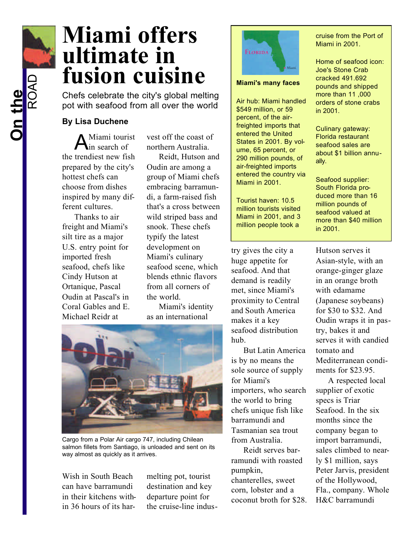## **Miami offers ultimate in fusion cuisine**

Chefs celebrate the city's global melting pot with seafood from all over the world

## **By Lisa Duchene**

A Miami tourist in search of the trendiest new fish prepared by the city's hottest chefs can choose from dishes inspired by many different cultures.

Thanks to air freight and Miami's silt tire as a major U.S. entry point for imported fresh seafood, chefs like Cindy Hutson at Ortanique, Pascal Oudin at Pascal's in Coral Gables and E. Michael Reidr at

vest off the coast of northern Australia.

Reidt, Hutson and Oudin are among a group of Miami chefs embracing barramundi, a farm-raised fish that's a cross between wild striped bass and snook. These chefs typify the latest development on Miami's culinary seafood scene, which blends ethnic flavors from all corners of the world.

Miami's identity as an international



Cargo from a Polar Air cargo 747, including Chilean salmon fillets from Santiago, is unloaded and sent on its way almost as quickly as it arrives.

Wish in South Beach can have barramundi in their kitchens within 36 hours of its harmelting pot, tourist destination and key departure point for the cruise-line indus-



## **Miami's many faces**

Air hub: Miami handled \$549 million, or 59 percent, of the airfreighted imports that entered the United States in 2001. By volume, 65 percent, or 290 million pounds, of air-freighted imports entered the country via Miami in 2001.

Tourist haven: 10.5 million tourists visited Miami in 2001, and 3 million people took a

try gives the city a huge appetite for seafood. And that demand is readily met, since Miami's proximity to Central and South America makes it a key seafood distribution hub.

But Latin America is by no means the sole source of supply for Miami's importers, who search the world to bring chefs unique fish like barramundi and Tasmanian sea trout from Australia.

Reidt serves barramundi with roasted pumpkin, chanterelles, sweet corn, lobster and a coconut broth for \$28. cruise from the Port of Miami in 2001.

Home of seafood icon: Joe's Stone Crab cracked 491.692 pounds and shipped more than 11 ,000 orders of stone crabs in 2001.

Culinary gateway: Florida restaurant seafood sales are about \$1 billion annually.

Seafood supplier: South Florida produced more than 16 million pounds of seafood valued at more than \$40 million in 2001.

Hutson serves it Asian-style, with an orange-ginger glaze in an orange broth with edamame (Japanese soybeans) for \$30 to \$32. And Oudin wraps it in pastry, bakes it and serves it with candied tomato and Mediterranean condiments for \$23.95.

A respected local supplier of exotic specs is Triar Seafood. In the six months since the company began to import barramundi, sales climbed to nearly \$1 million, says Peter Jarvis, president of the Hollywood, Fla., company. Whole H&C barramundi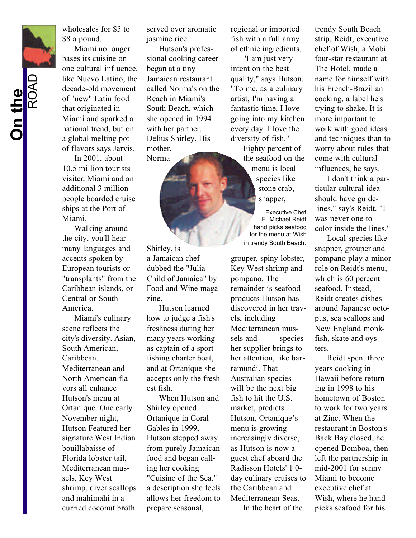**On the** ROAD wholesales for \$5 to \$8 a pound.

Miami no longer bases its cuisine on one cultural influence, like Nuevo Latino, the decade-old movement of "new" Latin food that originated in Miami and sparked a national trend, but on a global melting pot of flavors says Jarvis.

In 2001, about 10.5 million tourists visited Miami and an additional 3 million people boarded cruise ships at the Port of Miami.

Walking around the city, you'll hear many languages and accents spoken by European tourists or "transplants" from the Caribbean islands, or Central or South America.

Miami's culinary scene reflects the city's diversity. Asian, South American, Caribbean. Mediterranean and North American flavors all enhance Hutson's menu at Ortanique. One early November night, Hutson Featured her signature West Indian bouillabaisse of Florida lobster tail, Mediterranean mussels, Key West shrimp, diver scallops and mahimahi in a curried coconut broth

served over aromatic jasmine rice.

Hutson's professional cooking career began at a tiny Jamaican restaurant called Norma's on the Reach in Miami's South Beach, which she opened in 1994 with her partner, Delius Shirley. His mother, Norma

Shirley, is a Jamaican chef dubbed the "Julia Child of Jamaica" by Food and Wine magazine.

Hutson learned how to judge a fish's freshness during her many years working as captain of a sportfishing charter boat, and at Ortanique she accepts only the freshest fish.

When Hutson and Shirley opened Ortanique in Coral Gables in 1999, Hutson stepped away from purely Jamaican food and began calling her cooking "Cuisine of the Sea." a description she feels allows her freedom to prepare seasonal,

regional or imported fish with a full array of ethnic ingredients.

"I am just very intent on the best quality," says Hutson. "To me, as a culinary artist, I'm having a fantastic time. I love going into my kitchen every day. I love the diversity of fish."

Eighty percent of the seafood on the menu is local species like stone crab, snapper,

Executive Chef E. Michael Reidt hand picks seafood for the menu at Wish in trendy South Beach.

grouper, spiny lobster, Key West shrimp and pompano. The remainder is seafood products Hutson has discovered in her travels, including Mediterranean mussels and species her supplier brings to her attention, like barramundi. That Australian species will be the next big fish to hit the U.S. market, predicts Hutson. Ortanique's menu is growing increasingly diverse, as Hutson is now a guest chef aboard the Radisson Hotels' 1 0 day culinary cruises to the Caribbean and Mediterranean Seas. In the heart of the

trendy South Beach strip, Reidt, executive chef of Wish, a Mobil four-star restaurant at The Hotel, made a name for himself with his French-Brazilian cooking, a label he's trying to shake. It is more important to work with good ideas and techniques than to worry about rules that come with cultural influences, he says.

I don't think a particular cultural idea should have guidelines," say's Reidt. "I was never one to color inside the lines."

Local species like snapper, grouper and pompano play a minor role on Reidt's menu, which is 60 percent seafood. Instead, Reidt creates dishes around Japanese octopus, sea scallops and New England monkfish, skate and oysters.

Reidt spent three years cooking in Hawaii before returning in 1998 to his hometown of Boston to work for two years at Zinc. When the restaurant in Boston's Back Bay closed, he opened Bomboa, then left the partnership in mid-2001 for sunny Miami to become executive chef at Wish, where he handpicks seafood for his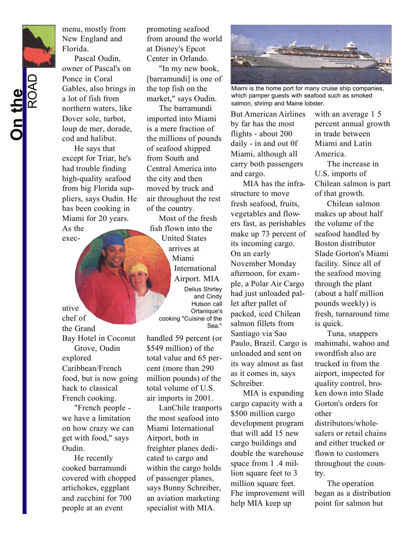menu, mostly from New England and Florida.

Pascal Oudin, owner of Pascal's on Ponce in Coral Gables, also brings in a lot of fish from northern waters, like Dover sole, turbot, loup de mer, dorade, cod and halibut.

He says that except for Triar, he's had trouble finding high-quality seafood from big Florida suppliers, says Oudin. He has been cooking in Miami for 20 years.

As the exec-

utive chef of the Grand Bay Hotel in Coconut Grove, Oudin explored Caribbean/French food, but is now going hack to classical

"French people we have a limitation on how crazy we can get with food," says Oudin.

French cooking.

He recently cooked barramundi covered with chopped artichokes, eggplant and zucchini for 700 people at an event

promoting seafood from around the world at Disney's Epcot Center in Orlando.

"In my new book, [barramundi] is one of the top fish on the market," says Oudin.

The barramundi imported into Miami is a mere fraction of the millions of pounds of seafood shipped from South and Central America into the city and then moved by truck and air throughout the rest of the country.

Most of the fresh fish flown into the United States arrives at Miami International Airport. MIA Delius Shirley and Cindy Hutson call Ortanique's cooking "Cuisine of the Sea."

handled 59 percent (or \$549 million) of the total value and 65 percent (more than 290 million pounds) of the total volume of U.S. air imports in 2001.

LanChile tranports the most seafood into Miami International Airport, both in freighter planes dedicated to cargo and within the cargo holds of passenger planes, says Bunny Schreiber, an aviation marketing specialist with MIA.



Miami is the home port for many cruise ship companies, which pamper guests with seafood such as smoked salmon, shrimp and Maine lobster.

But American Airlines by far has the most flights - about 200 daily - in and out 0f Miami, although all carry both passengers and cargo.

MIA has the infrastructure to move fresh seafood, fruits, vegetables and flowers fast, as perishables make up 73 percent of its incoming cargo. On an early November Monday afternoon, for example, a Polar Air Cargo had just unloaded pallet after pallet of packed, iced Chilean salmon fillets from Santiago via Sao Paulo, Brazil. Cargo is unloaded and sent on its way almost as fast as it comes in, says Schreiber.

MIA is expanding cargo capacity with a \$500 million cargo development program that will add 15 new cargo buildings and double the warehouse space from 1 .4 million square feet to 3 million square feet. Fhe improvement will help MIA keep up

with an average 1 5 percent annual growth in trade between Miami and Latin America.

The increase in U.S. imports of Chilean salmon is part of that growth.

Chilean salmon makes up about half the volume of the seafood handled by Boston distributor Slade Gorton's Miami facility. Since all of the seafood moving through the plant (about a half million pounds weekly) is fresh, turnaround time is quick.

Tuna, snappers mahimahi, wahoo and swordfish also are trucked in from the airport, inspected for quality control, broken down into Slade Gorton's orders for other distributors/wholesalers or retail chains and either trucked or flown to customers throughout the country.

The operation began as a distribution point for salmon but

**On the** ROAD